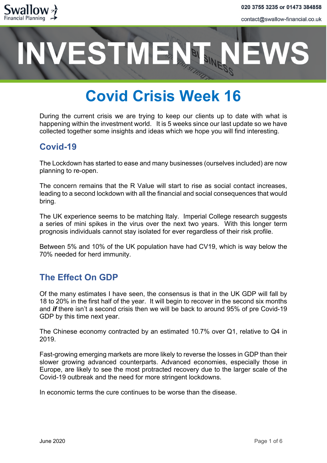

# **ESTMENT**

# **Covid Crisis Week 16**

During the current crisis we are trying to keep our clients up to date with what is happening within the investment world. It is 5 weeks since our last update so we have collected together some insights and ideas which we hope you will find interesting.

### **Covid-19**

The Lockdown has started to ease and many businesses (ourselves included) are now planning to re-open.

The concern remains that the R Value will start to rise as social contact increases, leading to a second lockdown with all the financial and social consequences that would bring.

The UK experience seems to be matching Italy. Imperial College research suggests a series of mini spikes in the virus over the next two years. With this longer term prognosis individuals cannot stay isolated for ever regardless of their risk profile.

Between 5% and 10% of the UK population have had CV19, which is way below the 70% needed for herd immunity.

## **The Effect On GDP**

Of the many estimates I have seen, the consensus is that in the UK GDP will fall by 18 to 20% in the first half of the year. It will begin to recover in the second six months and *if* there isn't a second crisis then we will be back to around 95% of pre Covid-19 GDP by this time next year.

The Chinese economy contracted by an estimated 10.7% over Q1, relative to Q4 in 2019.

Fast-growing emerging markets are more likely to reverse the losses in GDP than their slower growing advanced counterparts. Advanced economies, especially those in Europe, are likely to see the most protracted recovery due to the larger scale of the Covid-19 outbreak and the need for more stringent lockdowns.

In economic terms the cure continues to be worse than the disease.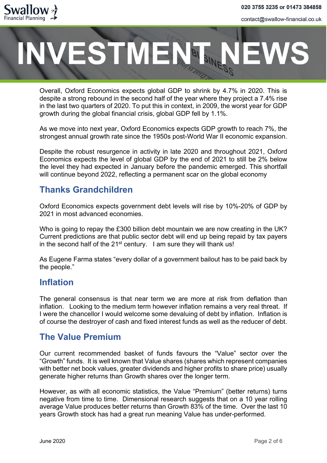

# VESTMENT

Overall, Oxford Economics expects global GDP to shrink by 4.7% in 2020. This is despite a strong rebound in the second half of the year where they project a 7.4% rise in the last two quarters of 2020. To put this in context, in 2009, the worst year for GDP growth during the global financial crisis, global GDP fell by 1.1%.

As we move into next year, Oxford Economics expects GDP growth to reach 7%, the strongest annual growth rate since the 1950s post-World War II economic expansion.

Despite the robust resurgence in activity in late 2020 and throughout 2021, Oxford Economics expects the level of global GDP by the end of 2021 to still be 2% below the level they had expected in January before the pandemic emerged. This shortfall will continue beyond 2022, reflecting a permanent scar on the global economy

## **Thanks Grandchildren**

Oxford Economics expects government debt levels will rise by 10%-20% of GDP by 2021 in most advanced economies.

Who is going to repay the £300 billion debt mountain we are now creating in the UK? Current predictions are that public sector debt will end up being repaid by tax payers in the second half of the  $21^{st}$  century. I am sure they will thank us!

As Eugene Farma states "every dollar of a government bailout has to be paid back by the people."

#### **Inflation**

The general consensus is that near term we are more at risk from deflation than inflation. Looking to the medium term however inflation remains a very real threat. If I were the chancellor I would welcome some devaluing of debt by inflation. Inflation is of course the destroyer of cash and fixed interest funds as well as the reducer of debt.

#### **The Value Premium**

Our current recommended basket of funds favours the "Value" sector over the "Growth" funds. It is well known that Value shares (shares which represent companies with better net book values, greater dividends and higher profits to share price) usually generate higher returns than Growth shares over the longer term.

However, as with all economic statistics, the Value "Premium" (better returns) turns negative from time to time. Dimensional research suggests that on a 10 year rolling average Value produces better returns than Growth 83% of the time. Over the last 10 years Growth stock has had a great run meaning Value has under-performed.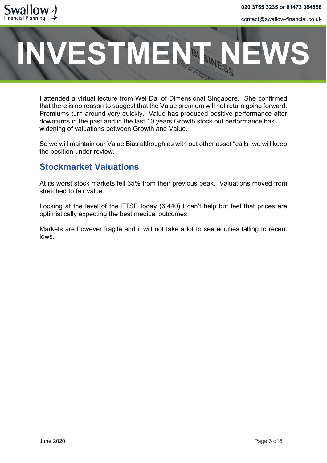

# **ESTMENT**

I attended a virtual lecture from Wei Dai of Dimensional Singapore. She confirmed that there is no reason to suggest that the Value premium will not return going forward. Premiums turn around very quickly. Value has produced positive performance after downturns in the past and in the last 10 years Growth stock out performance has widening of valuations between Growth and Value.

So we will maintain our Value Bias although as with out other asset "calls" we will keep the position under review.

### **Stockmarket Valuations**

At its worst stock markets fell 35% from their previous peak. Valuations moved from stretched to fair value.

Looking at the level of the FTSE today (6,440) I can't help but feel that prices are optimistically expecting the best medical outcomes.

Markets are however fragile and it will not take a lot to see equities falling to recent lows.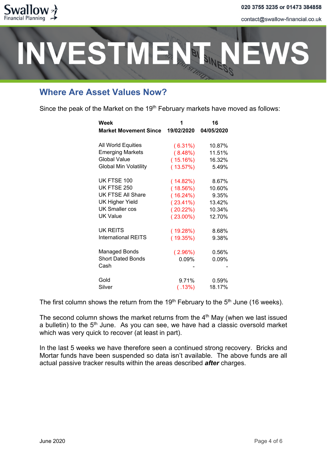

# **ESTMENT**

## **Where Are Asset Values Now?**

Since the peak of the Market on the  $19<sup>th</sup>$  February markets have moved as follows:

| Week<br><b>Market Movement Since</b> | 19/02/2020  | 16<br>04/05/2020 |
|--------------------------------------|-------------|------------------|
| All World Equities                   | $(6.31\%)$  | 10.87%           |
| <b>Emerging Markets</b>              | (8.48%)     | 11.51%           |
| <b>Global Value</b>                  | (15.16%)    | 16.32%           |
| <b>Global Min Volatility</b>         | (13.57%)    | 5.49%            |
| UK FTSE 100                          | (14.82%)    | 8.67%            |
| UK FTSE 250                          | (18.56%)    | 10.60%           |
| <b>UK FTSE All Share</b>             | $(16.24\%)$ | 9.35%            |
| <b>UK Higher Yield</b>               | $(23.41\%)$ | 13.42%           |
| <b>UK Smaller cos</b>                | $(20.22\%)$ | 10.34%           |
| <b>UK Value</b>                      | $(23.00\%)$ | 12.70%           |
| UK REITS                             | (19.28%)    | 8.68%            |
| <b>International REITS</b>           | (19.35%)    | 9.38%            |
| <b>Managed Bonds</b>                 | $(2.96\%)$  | 0.56%            |
| <b>Short Dated Bonds</b>             | 0.09%       | 0.09%            |
| Cash                                 |             |                  |
| Gold                                 | 9.71%       | 0.59%            |
| Silver                               | (.13%)      | 18.17%           |

The first column shows the return from the 19<sup>th</sup> February to the 5<sup>th</sup> June (16 weeks).

The second column shows the market returns from the  $4<sup>th</sup>$  May (when we last issued a bulletin) to the  $5<sup>th</sup>$  June. As you can see, we have had a classic oversold market which was very quick to recover (at least in part).

In the last 5 weeks we have therefore seen a continued strong recovery. Bricks and Mortar funds have been suspended so data isn't available. The above funds are all actual passive tracker results within the areas described *after* charges.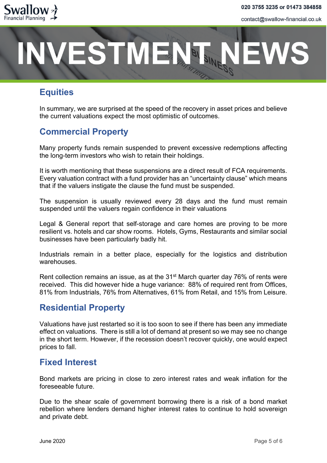

# **ESTMENT**

# **Equities**

In summary, we are surprised at the speed of the recovery in asset prices and believe the current valuations expect the most optimistic of outcomes.

# **Commercial Property**

Many property funds remain suspended to prevent excessive redemptions affecting the long-term investors who wish to retain their holdings.

It is worth mentioning that these suspensions are a direct result of FCA requirements. Every valuation contract with a fund provider has an "uncertainty clause" which means that if the valuers instigate the clause the fund must be suspended.

The suspension is usually reviewed every 28 days and the fund must remain suspended until the valuers regain confidence in their valuations

Legal & General report that self-storage and care homes are proving to be more resilient vs. hotels and car show rooms. Hotels, Gyms, Restaurants and similar social businesses have been particularly badly hit.

Industrials remain in a better place, especially for the logistics and distribution warehouses.

Rent collection remains an issue, as at the 31<sup>st</sup> March quarter day 76% of rents were received. This did however hide a huge variance: 88% of required rent from Offices, 81% from Industrials, 76% from Alternatives, 61% from Retail, and 15% from Leisure.

## **Residential Property**

Valuations have just restarted so it is too soon to see if there has been any immediate effect on valuations. There is still a lot of demand at present so we may see no change in the short term. However, if the recession doesn't recover quickly, one would expect prices to fall.

### **Fixed Interest**

Bond markets are pricing in close to zero interest rates and weak inflation for the foreseeable future.

Due to the shear scale of government borrowing there is a risk of a bond market rebellion where lenders demand higher interest rates to continue to hold sovereign and private debt.